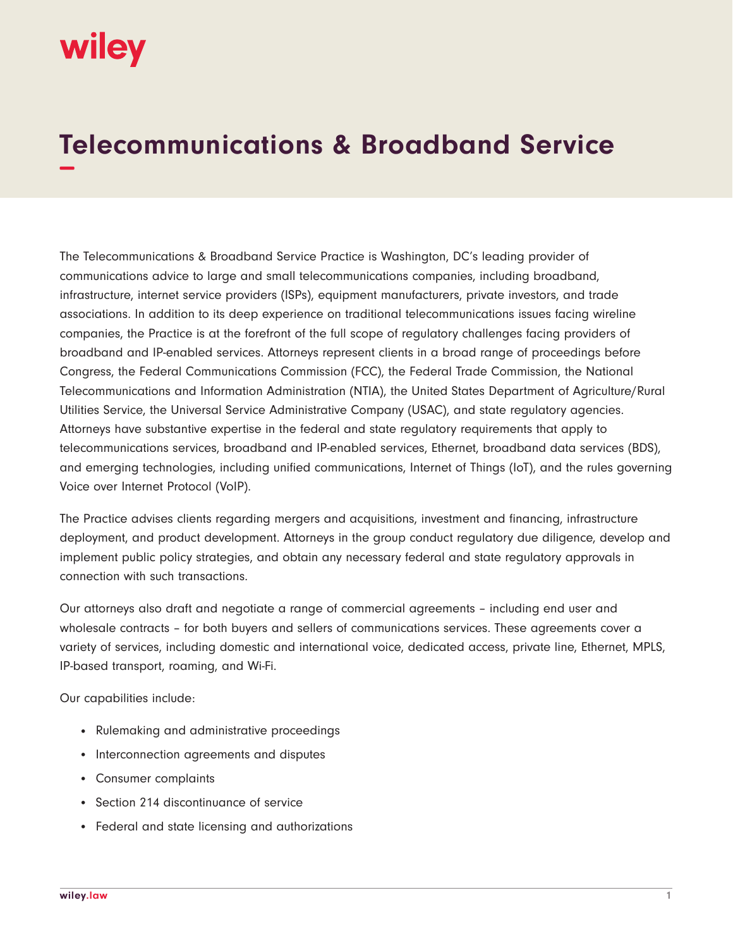## wiley

## **Telecommunications & Broadband Service −**

The Telecommunications & Broadband Service Practice is Washington, DC's leading provider of communications advice to large and small telecommunications companies, including broadband, infrastructure, internet service providers (ISPs), equipment manufacturers, private investors, and trade associations. In addition to its deep experience on traditional telecommunications issues facing wireline companies, the Practice is at the forefront of the full scope of regulatory challenges facing providers of broadband and IP-enabled services. Attorneys represent clients in a broad range of proceedings before Congress, the Federal Communications Commission (FCC), the Federal Trade Commission, the National Telecommunications and Information Administration (NTIA), the United States Department of Agriculture/Rural Utilities Service, the Universal Service Administrative Company (USAC), and state regulatory agencies. Attorneys have substantive expertise in the federal and state regulatory requirements that apply to telecommunications services, broadband and IP-enabled services, Ethernet, broadband data services (BDS), and emerging technologies, including unified communications, Internet of Things (IoT), and the rules governing Voice over Internet Protocol (VoIP).

The Practice advises clients regarding mergers and acquisitions, investment and financing, infrastructure deployment, and product development. Attorneys in the group conduct regulatory due diligence, develop and implement public policy strategies, and obtain any necessary federal and state regulatory approvals in connection with such transactions.

Our attorneys also draft and negotiate a range of commercial agreements – including end user and wholesale contracts – for both buyers and sellers of communications services. These agreements cover a variety of services, including domestic and international voice, dedicated access, private line, Ethernet, MPLS, IP-based transport, roaming, and Wi-Fi.

Our capabilities include:

- Rulemaking and administrative proceedings
- Interconnection agreements and disputes
- Consumer complaints
- Section 214 discontinuance of service
- Federal and state licensing and authorizations